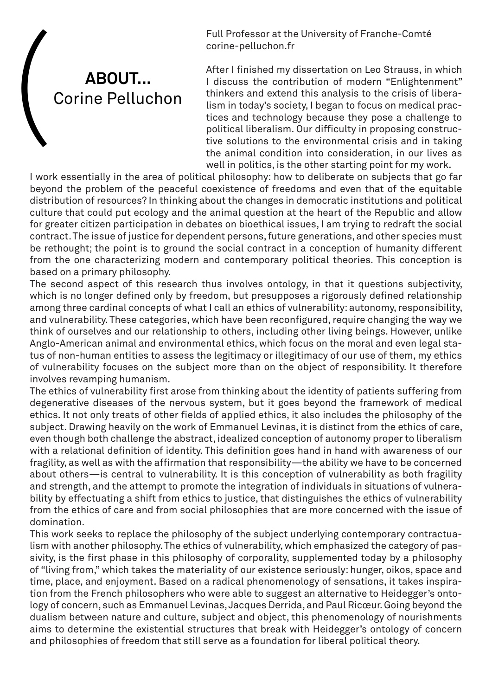corine-pelluchon.fr



Full Professor at the University of Franche-Comté<br>
corine-pelluchon.fr<br>
After I finished my dissertation on Leo Strauss, in<br>
I discuss the contribution of modern "Enlighter<br>
Corine Pelluchon<br>
thinkers and extend this analy After I finished my dissertation on Leo Strauss, in which I discuss the contribution of modern "Enlightenment" thinkers and extend this analysis to the crisis of liberalism in today's society, I began to focus on medical practices and technology because they pose a challenge to political liberalism. Our difficulty in proposing constructive solutions to the environmental crisis and in taking the animal condition into consideration, in our lives as well in politics, is the other starting point for my work.

I work essentially in the area of political philosophy: how to deliberate on subjects that go far beyond the problem of the peaceful coexistence of freedoms and even that of the equitable distribution of resources? In thinking about the changes in democratic institutions and political culture that could put ecology and the animal question at the heart of the Republic and allow for greater citizen participation in debates on bioethical issues, I am trying to redraft the social contract. The issue of justice for dependent persons, future generations, and other species must be rethought; the point is to ground the social contract in a conception of humanity different from the one characterizing modern and contemporary political theories. This conception is based on a primary philosophy.

The second aspect of this research thus involves ontology, in that it questions subjectivity, which is no longer defined only by freedom, but presupposes a rigorously defined relationship among three cardinal concepts of what I call an ethics of vulnerability: autonomy, responsibility, and vulnerability. These categories, which have been reconfigured, require changing the way we think of ourselves and our relationship to others, including other living beings. However, unlike Anglo-American animal and environmental ethics, which focus on the moral and even legal status of non-human entities to assess the legitimacy or illegitimacy of our use of them, my ethics of vulnerability focuses on the subject more than on the object of responsibility. It therefore involves revamping humanism.

The ethics of vulnerability first arose from thinking about the identity of patients suffering from degenerative diseases of the nervous system, but it goes beyond the framework of medical ethics. It not only treats of other fields of applied ethics, it also includes the philosophy of the subject. Drawing heavily on the work of Emmanuel Levinas, it is distinct from the ethics of care, even though both challenge the abstract, idealized conception of autonomy proper to liberalism with a relational definition of identity. This definition goes hand in hand with awareness of our fragility, as well as with the affirmation that responsibility—the ability we have to be concerned about others—is central to vulnerability. It is this conception of vulnerability as both fragility and strength, and the attempt to promote the integration of individuals in situations of vulnerability by effectuating a shift from ethics to justice, that distinguishes the ethics of vulnerability from the ethics of care and from social philosophies that are more concerned with the issue of domination.

This work seeks to replace the philosophy of the subject underlying contemporary contractualism with another philosophy. The ethics of vulnerability, which emphasized the category of passivity, is the first phase in this philosophy of corporality, supplemented today by a philosophy of "living from," which takes the materiality of our existence seriously: hunger, oikos, space and time, place, and enjoyment. Based on a radical phenomenology of sensations, it takes inspiration from the French philosophers who were able to suggest an alternative to Heidegger's ontology of concern, such as Emmanuel Levinas, Jacques Derrida, and Paul Ricœur. Going beyond the dualism between nature and culture, subject and object, this phenomenology of nourishments aims to determine the existential structures that break with Heidegger's ontology of concern and philosophies of freedom that still serve as a foundation for liberal political theory.